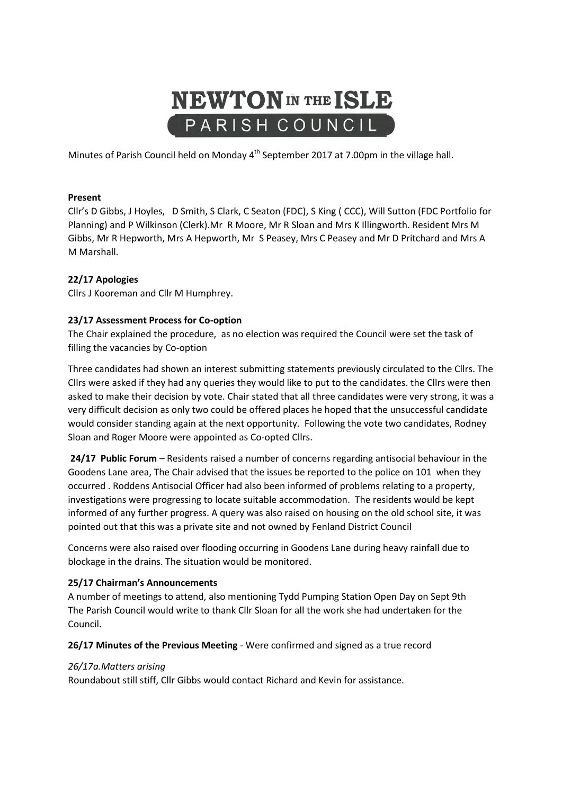# **NEWTON** IN THE ISLE PARISH COUNCIL

Minutes of Parish Council held on Monday 4<sup>th</sup> September 2017 at 7.00pm in the village hall.

### **Present**

Cllr's D Gibbs, J Hoyles, D Smith, S Clark, C Seaton (FDC), S King ( CCC), Will Sutton (FDC Portfolio for Planning) and P Wilkinson (Clerk).Mr R Moore, Mr R Sloan and Mrs K Illingworth. Resident Mrs M Gibbs, Mr R Hepworth, Mrs A Hepworth, Mr S Peasey, Mrs C Peasey and Mr D Pritchard and Mrs A M Marshall.

# **22/17 Apologies**

Cllrs J Kooreman and Cllr M Humphrey.

### **23/17 Assessment Process for Co-option**

The Chair explained the procedure, as no election was required the Council were set the task of filling the vacancies by Co-option

Three candidates had shown an interest submitting statements previously circulated to the Cllrs. The Cllrs were asked if they had any queries they would like to put to the candidates. the Cllrs were then asked to make their decision by vote. Chair stated that all three candidates were very strong, it was a very difficult decision as only two could be offered places he hoped that the unsuccessful candidate would consider standing again at the next opportunity. Following the vote two candidates, Rodney Sloan and Roger Moore were appointed as Co-opted Cllrs.

**24/17 Public Forum** – Residents raised a number of concerns regarding antisocial behaviour in the Goodens Lane area, The Chair advised that the issues be reported to the police on 101 when they occurred . Roddens Antisocial Officer had also been informed of problems relating to a property, investigations were progressing to locate suitable accommodation. The residents would be kept informed of any further progress. A query was also raised on housing on the old school site, it was pointed out that this was a private site and not owned by Fenland District Council

Concerns were also raised over flooding occurring in Goodens Lane during heavy rainfall due to blockage in the drains. The situation would be monitored.

#### **25/17 Chairman's Announcements**

A number of meetings to attend, also mentioning Tydd Pumping Station Open Day on Sept 9th The Parish Council would write to thank Cllr Sloan for all the work she had undertaken for the Council.

#### **26/17 Minutes of the Previous Meeting** - Were confirmed and signed as a true record

#### *26/17a.Matters arising*

Roundabout still stiff, Cllr Gibbs would contact Richard and Kevin for assistance.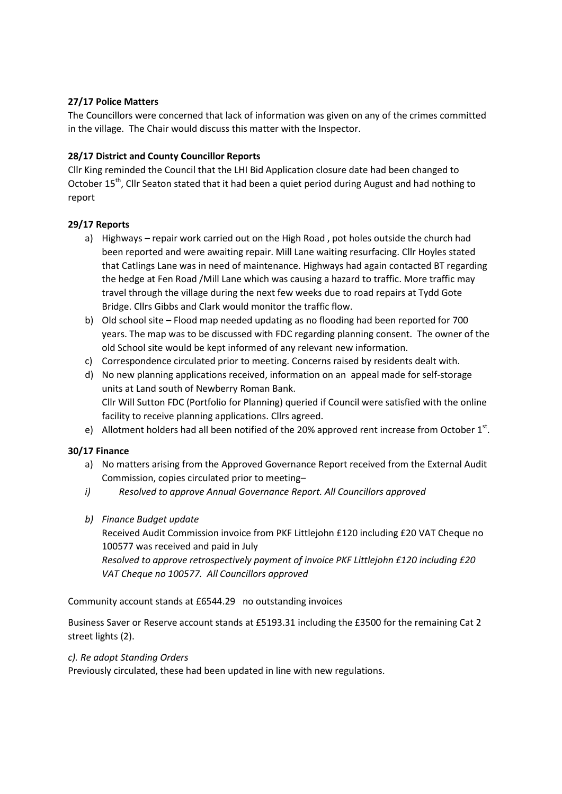# **27/17 Police Matters**

The Councillors were concerned that lack of information was given on any of the crimes committed in the village. The Chair would discuss this matter with the Inspector.

# **28/17 District and County Councillor Reports**

Cllr King reminded the Council that the LHI Bid Application closure date had been changed to October 15<sup>th</sup>, Cllr Seaton stated that it had been a quiet period during August and had nothing to report

# **29/17 Reports**

- a) Highways repair work carried out on the High Road , pot holes outside the church had been reported and were awaiting repair. Mill Lane waiting resurfacing. Cllr Hoyles stated that Catlings Lane was in need of maintenance. Highways had again contacted BT regarding the hedge at Fen Road /Mill Lane which was causing a hazard to traffic. More traffic may travel through the village during the next few weeks due to road repairs at Tydd Gote Bridge. Cllrs Gibbs and Clark would monitor the traffic flow.
- b) Old school site Flood map needed updating as no flooding had been reported for 700 years. The map was to be discussed with FDC regarding planning consent. The owner of the old School site would be kept informed of any relevant new information.
- c) Correspondence circulated prior to meeting. Concerns raised by residents dealt with.
- d) No new planning applications received, information on an appeal made for self-storage units at Land south of Newberry Roman Bank. Cllr Will Sutton FDC (Portfolio for Planning) queried if Council were satisfied with the online facility to receive planning applications. Cllrs agreed.
- e) Allotment holders had all been notified of the 20% approved rent increase from October  $1<sup>st</sup>$ .

# **30/17 Finance**

- a) No matters arising from the Approved Governance Report received from the External Audit Commission, copies circulated prior to meeting–
- *i) Resolved to approve Annual Governance Report. All Councillors approved*
- *b) Finance Budget update*

Received Audit Commission invoice from PKF Littlejohn £120 including £20 VAT Cheque no 100577 was received and paid in July *Resolved to approve retrospectively payment of invoice PKF Littlejohn £120 including £20* 

*VAT Cheque no 100577. All Councillors approved*

Community account stands at £6544.29 no outstanding invoices

Business Saver or Reserve account stands at £5193.31 including the £3500 for the remaining Cat 2 street lights (2).

# *c). Re adopt Standing Orders*

Previously circulated, these had been updated in line with new regulations.